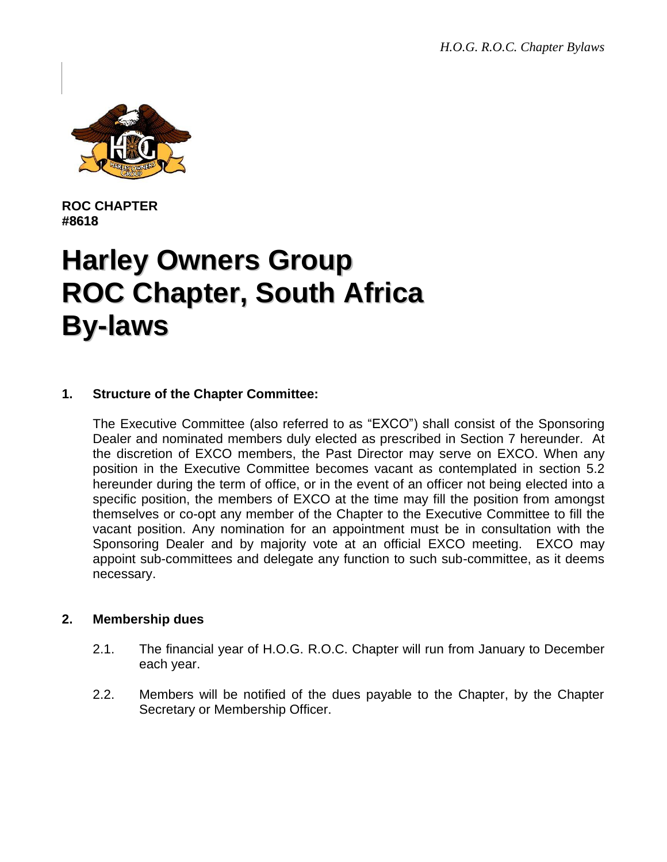

**ROC CHAPTER #8618**

# **Harley Owners Group ROC Chapter, South Africa By-laws**

# **1. Structure of the Chapter Committee:**

The Executive Committee (also referred to as "EXCO") shall consist of the Sponsoring Dealer and nominated members duly elected as prescribed in Section 7 hereunder. At the discretion of EXCO members, the Past Director may serve on EXCO. When any position in the Executive Committee becomes vacant as contemplated in section 5.2 hereunder during the term of office, or in the event of an officer not being elected into a specific position, the members of EXCO at the time may fill the position from amongst themselves or co-opt any member of the Chapter to the Executive Committee to fill the vacant position. Any nomination for an appointment must be in consultation with the Sponsoring Dealer and by majority vote at an official EXCO meeting. EXCO may appoint sub-committees and delegate any function to such sub-committee, as it deems necessary.

## **2. Membership dues**

- 2.1. The financial year of H.O.G. R.O.C. Chapter will run from January to December each year.
- 2.2. Members will be notified of the dues payable to the Chapter, by the Chapter Secretary or Membership Officer.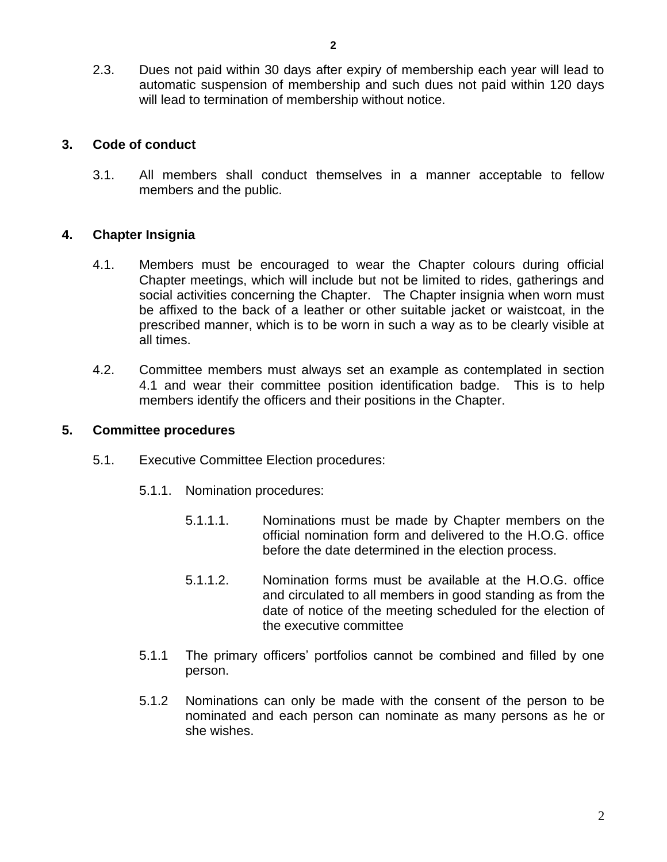2.3. Dues not paid within 30 days after expiry of membership each year will lead to automatic suspension of membership and such dues not paid within 120 days will lead to termination of membership without notice.

# **3. Code of conduct**

3.1. All members shall conduct themselves in a manner acceptable to fellow members and the public.

# **4. Chapter Insignia**

- 4.1. Members must be encouraged to wear the Chapter colours during official Chapter meetings, which will include but not be limited to rides, gatherings and social activities concerning the Chapter. The Chapter insignia when worn must be affixed to the back of a leather or other suitable jacket or waistcoat, in the prescribed manner, which is to be worn in such a way as to be clearly visible at all times.
- 4.2. Committee members must always set an example as contemplated in section 4.1 and wear their committee position identification badge. This is to help members identify the officers and their positions in the Chapter.

## **5. Committee procedures**

- 5.1. Executive Committee Election procedures:
	- 5.1.1. Nomination procedures:
		- 5.1.1.1. Nominations must be made by Chapter members on the official nomination form and delivered to the H.O.G. office before the date determined in the election process.
		- 5.1.1.2. Nomination forms must be available at the H.O.G. office and circulated to all members in good standing as from the date of notice of the meeting scheduled for the election of the executive committee
	- 5.1.1 The primary officers' portfolios cannot be combined and filled by one person.
	- 5.1.2 Nominations can only be made with the consent of the person to be nominated and each person can nominate as many persons as he or she wishes.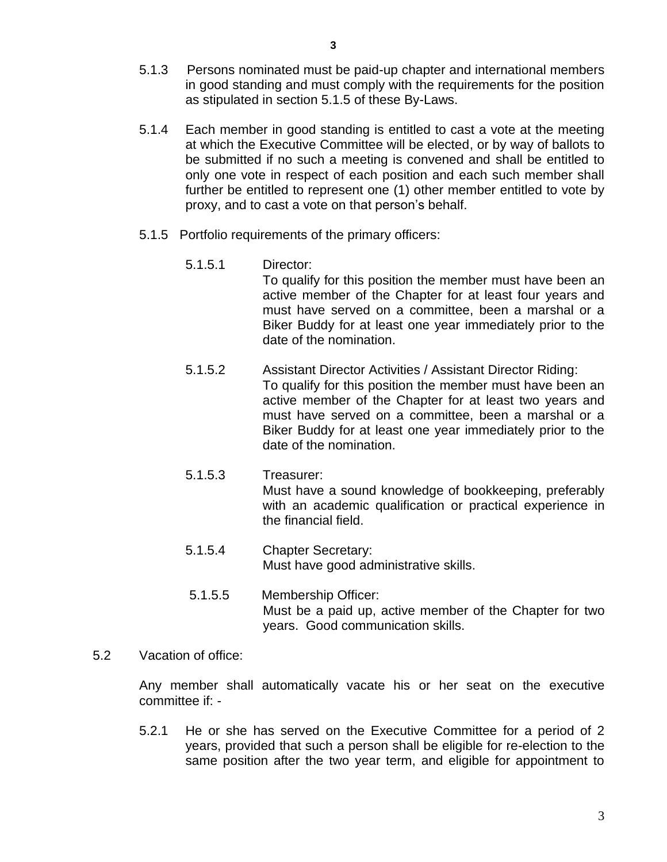- 5.1.3 Persons nominated must be paid-up chapter and international members in good standing and must comply with the requirements for the position as stipulated in section 5.1.5 of these By-Laws.
- 5.1.4 Each member in good standing is entitled to cast a vote at the meeting at which the Executive Committee will be elected, or by way of ballots to be submitted if no such a meeting is convened and shall be entitled to only one vote in respect of each position and each such member shall further be entitled to represent one (1) other member entitled to vote by proxy, and to cast a vote on that person's behalf.
- 5.1.5 Portfolio requirements of the primary officers:
	- 5.1.5.1 Director: To qualify for this position the member must have been an active member of the Chapter for at least four years and must have served on a committee, been a marshal or a Biker Buddy for at least one year immediately prior to the date of the nomination.
	- 5.1.5.2 Assistant Director Activities / Assistant Director Riding: To qualify for this position the member must have been an active member of the Chapter for at least two years and must have served on a committee, been a marshal or a Biker Buddy for at least one year immediately prior to the date of the nomination.
	- 5.1.5.3 Treasurer: Must have a sound knowledge of bookkeeping, preferably with an academic qualification or practical experience in the financial field.
	- 5.1.5.4 Chapter Secretary: Must have good administrative skills.
	- 5.1.5.5 Membership Officer: Must be a paid up, active member of the Chapter for two years. Good communication skills.
- 5.2 Vacation of office:

Any member shall automatically vacate his or her seat on the executive committee if: -

5.2.1 He or she has served on the Executive Committee for a period of 2 years, provided that such a person shall be eligible for re-election to the same position after the two year term, and eligible for appointment to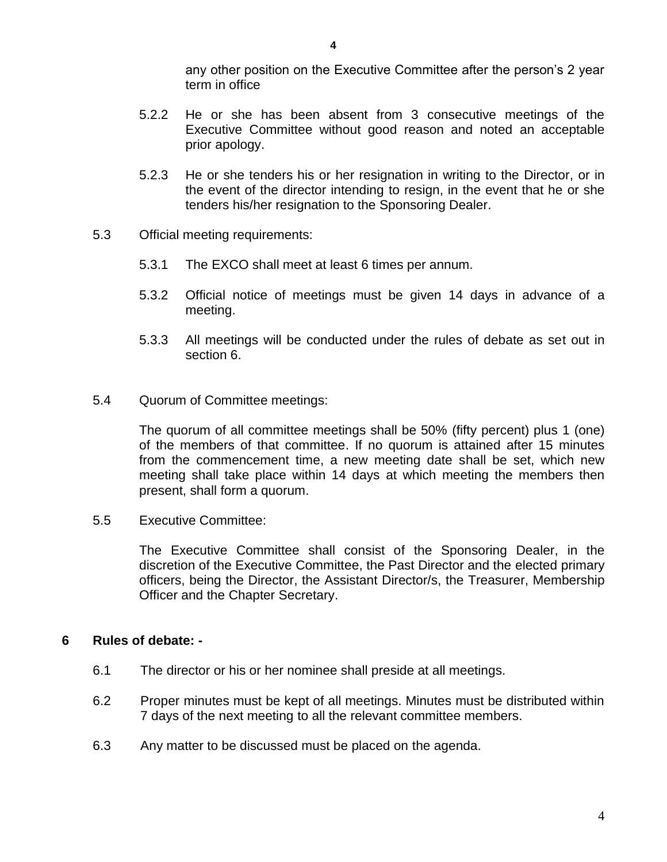any other position on the Executive Committee after the person's 2 year term in office

- 5.2.2 He or she has been absent from 3 consecutive meetings of the Executive Committee without good reason and noted an acceptable prior apology.
- 5.2.3 He or she tenders his or her resignation in writing to the Director, or in the event of the director intending to resign, in the event that he or she tenders his/her resignation to the Sponsoring Dealer.
- 5.3 Official meeting requirements:
	- 5.3.1 The EXCO shall meet at least 6 times per annum.
	- 5.3.2 Official notice of meetings must be given 14 days in advance of a meeting.
	- 5.3.3 All meetings will be conducted under the rules of debate as set out in section 6.
- 5.4 Quorum of Committee meetings:

The quorum of all committee meetings shall be 50% (fifty percent) plus 1 (one) of the members of that committee. If no quorum is attained after 15 minutes from the commencement time, a new meeting date shall be set, which new meeting shall take place within 14 days at which meeting the members then present, shall form a quorum.

5.5 Executive Committee:

The Executive Committee shall consist of the Sponsoring Dealer, in the discretion of the Executive Committee, the Past Director and the elected primary officers, being the Director, the Assistant Director/s, the Treasurer, Membership Officer and the Chapter Secretary.

## **6 Rules of debate: -**

- 6.1 The director or his or her nominee shall preside at all meetings.
- 6.2 Proper minutes must be kept of all meetings. Minutes must be distributed within 7 days of the next meeting to all the relevant committee members.
- 6.3 Any matter to be discussed must be placed on the agenda.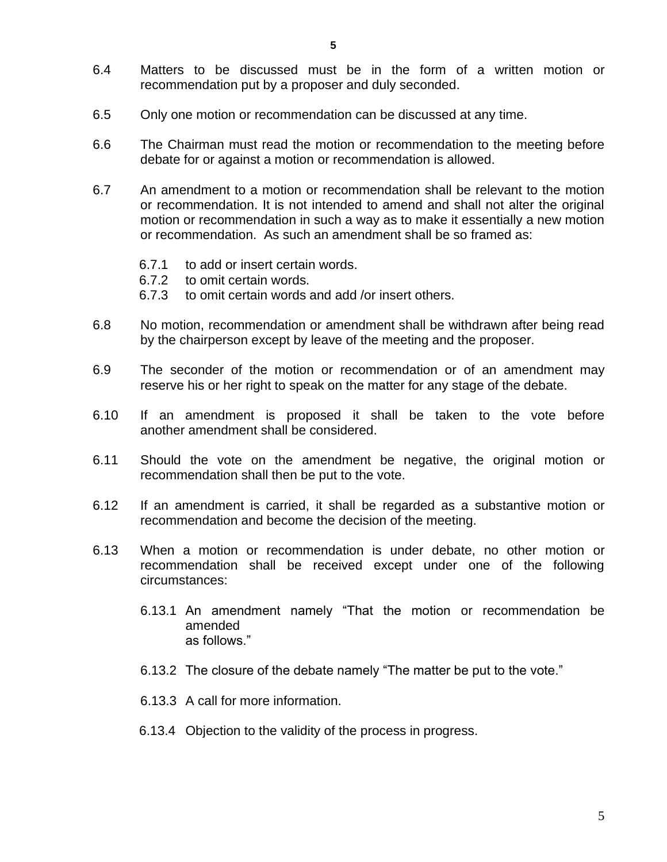- 6.4 Matters to be discussed must be in the form of a written motion or recommendation put by a proposer and duly seconded.
- 6.5 Only one motion or recommendation can be discussed at any time.
- 6.6 The Chairman must read the motion or recommendation to the meeting before debate for or against a motion or recommendation is allowed.
- 6.7 An amendment to a motion or recommendation shall be relevant to the motion or recommendation. It is not intended to amend and shall not alter the original motion or recommendation in such a way as to make it essentially a new motion or recommendation. As such an amendment shall be so framed as:
	- 6.7.1 to add or insert certain words.
	- 6.7.2 to omit certain words.
	- 6.7.3 to omit certain words and add /or insert others.
- 6.8 No motion, recommendation or amendment shall be withdrawn after being read by the chairperson except by leave of the meeting and the proposer.
- 6.9 The seconder of the motion or recommendation or of an amendment may reserve his or her right to speak on the matter for any stage of the debate.
- 6.10 If an amendment is proposed it shall be taken to the vote before another amendment shall be considered.
- 6.11 Should the vote on the amendment be negative, the original motion or recommendation shall then be put to the vote.
- 6.12 If an amendment is carried, it shall be regarded as a substantive motion or recommendation and become the decision of the meeting.
- 6.13 When a motion or recommendation is under debate, no other motion or recommendation shall be received except under one of the following circumstances:
	- 6.13.1 An amendment namely "That the motion or recommendation be amended as follows."
	- 6.13.2 The closure of the debate namely "The matter be put to the vote."
	- 6.13.3 A call for more information.
	- 6.13.4 Objection to the validity of the process in progress.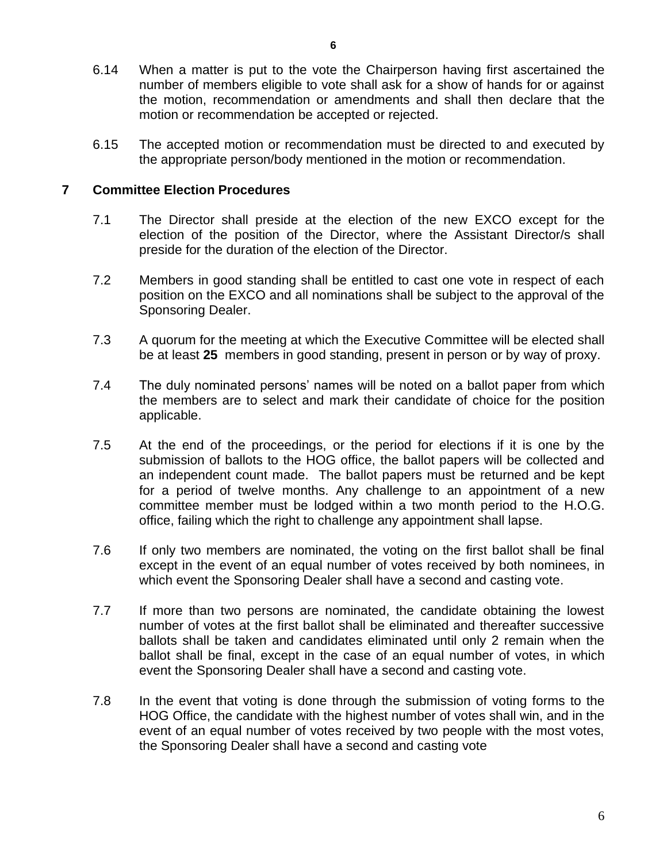- 6.14 When a matter is put to the vote the Chairperson having first ascertained the number of members eligible to vote shall ask for a show of hands for or against the motion, recommendation or amendments and shall then declare that the motion or recommendation be accepted or rejected.
- 6.15 The accepted motion or recommendation must be directed to and executed by the appropriate person/body mentioned in the motion or recommendation.

## **7 Committee Election Procedures**

- 7.1 The Director shall preside at the election of the new EXCO except for the election of the position of the Director, where the Assistant Director/s shall preside for the duration of the election of the Director.
- 7.2 Members in good standing shall be entitled to cast one vote in respect of each position on the EXCO and all nominations shall be subject to the approval of the Sponsoring Dealer.
- 7.3 A quorum for the meeting at which the Executive Committee will be elected shall be at least **25** members in good standing, present in person or by way of proxy.
- 7.4 The duly nominated persons' names will be noted on a ballot paper from which the members are to select and mark their candidate of choice for the position applicable.
- 7.5 At the end of the proceedings, or the period for elections if it is one by the submission of ballots to the HOG office, the ballot papers will be collected and an independent count made. The ballot papers must be returned and be kept for a period of twelve months. Any challenge to an appointment of a new committee member must be lodged within a two month period to the H.O.G. office, failing which the right to challenge any appointment shall lapse.
- 7.6 If only two members are nominated, the voting on the first ballot shall be final except in the event of an equal number of votes received by both nominees, in which event the Sponsoring Dealer shall have a second and casting vote.
- 7.7 If more than two persons are nominated, the candidate obtaining the lowest number of votes at the first ballot shall be eliminated and thereafter successive ballots shall be taken and candidates eliminated until only 2 remain when the ballot shall be final, except in the case of an equal number of votes, in which event the Sponsoring Dealer shall have a second and casting vote.
- 7.8 In the event that voting is done through the submission of voting forms to the HOG Office, the candidate with the highest number of votes shall win, and in the event of an equal number of votes received by two people with the most votes, the Sponsoring Dealer shall have a second and casting vote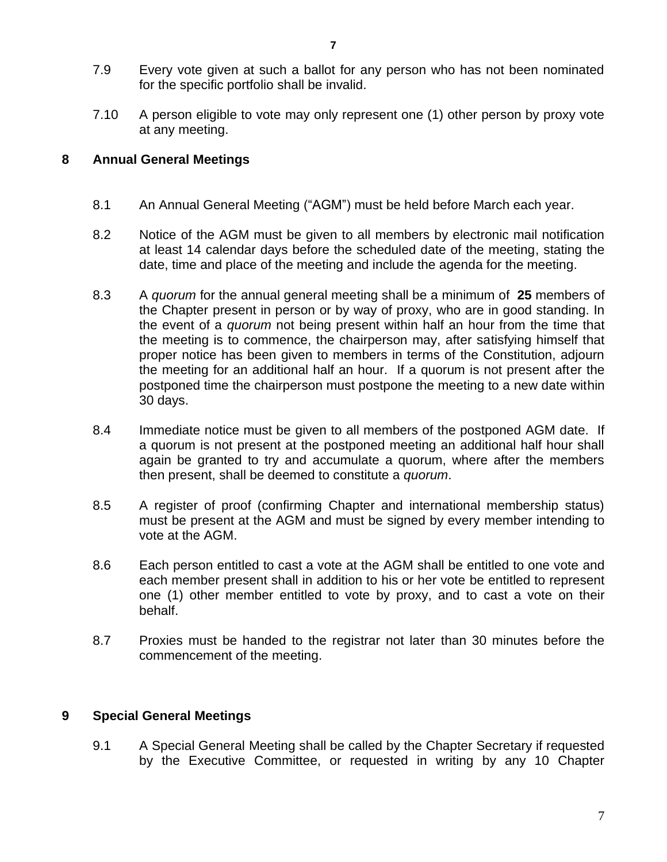- 7.9 Every vote given at such a ballot for any person who has not been nominated for the specific portfolio shall be invalid.
- 7.10 A person eligible to vote may only represent one (1) other person by proxy vote at any meeting.

# **8 Annual General Meetings**

- 8.1 An Annual General Meeting ("AGM") must be held before March each year.
- 8.2 Notice of the AGM must be given to all members by electronic mail notification at least 14 calendar days before the scheduled date of the meeting, stating the date, time and place of the meeting and include the agenda for the meeting.
- 8.3 A *quorum* for the annual general meeting shall be a minimum of **25** members of the Chapter present in person or by way of proxy, who are in good standing. In the event of a *quorum* not being present within half an hour from the time that the meeting is to commence, the chairperson may, after satisfying himself that proper notice has been given to members in terms of the Constitution, adjourn the meeting for an additional half an hour. If a quorum is not present after the postponed time the chairperson must postpone the meeting to a new date within 30 days.
- 8.4 Immediate notice must be given to all members of the postponed AGM date. If a quorum is not present at the postponed meeting an additional half hour shall again be granted to try and accumulate a quorum, where after the members then present, shall be deemed to constitute a *quorum*.
- 8.5 A register of proof (confirming Chapter and international membership status) must be present at the AGM and must be signed by every member intending to vote at the AGM.
- 8.6 Each person entitled to cast a vote at the AGM shall be entitled to one vote and each member present shall in addition to his or her vote be entitled to represent one (1) other member entitled to vote by proxy, and to cast a vote on their behalf.
- 8.7 Proxies must be handed to the registrar not later than 30 minutes before the commencement of the meeting.

# **9 Special General Meetings**

9.1 A Special General Meeting shall be called by the Chapter Secretary if requested by the Executive Committee, or requested in writing by any 10 Chapter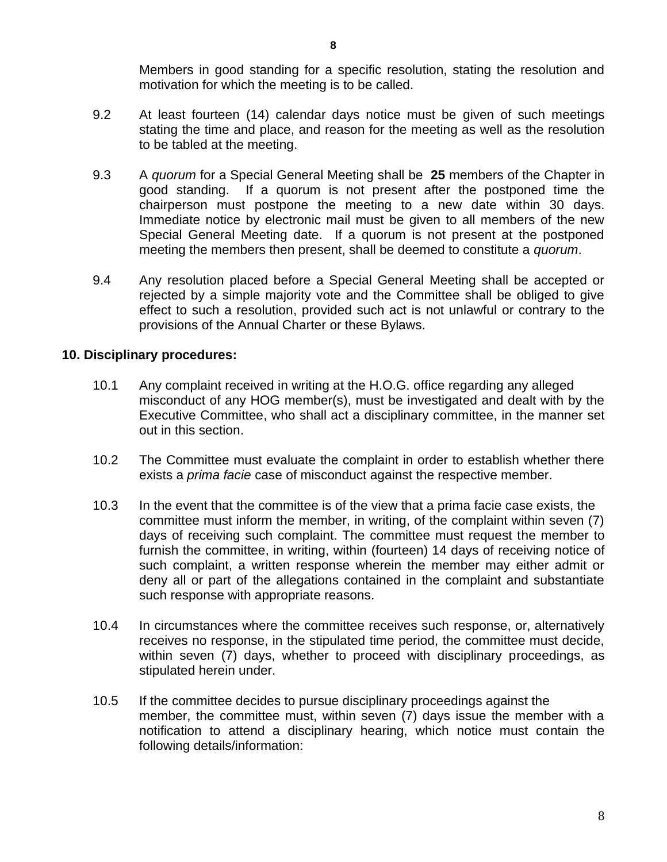Members in good standing for a specific resolution, stating the resolution and motivation for which the meeting is to be called.

- 9.2 At least fourteen (14) calendar days notice must be given of such meetings stating the time and place, and reason for the meeting as well as the resolution to be tabled at the meeting.
- 9.3 A *quorum* for a Special General Meeting shall be **25** members of the Chapter in good standing. If a quorum is not present after the postponed time the chairperson must postpone the meeting to a new date within 30 days. Immediate notice by electronic mail must be given to all members of the new Special General Meeting date. If a quorum is not present at the postponed meeting the members then present, shall be deemed to constitute a *quorum*.
- 9.4 Any resolution placed before a Special General Meeting shall be accepted or rejected by a simple majority vote and the Committee shall be obliged to give effect to such a resolution, provided such act is not unlawful or contrary to the provisions of the Annual Charter or these Bylaws.

# **10. Disciplinary procedures:**

- 10.1 Any complaint received in writing at the H.O.G. office regarding any alleged misconduct of any HOG member(s), must be investigated and dealt with by the Executive Committee, who shall act a disciplinary committee, in the manner set out in this section.
- 10.2 The Committee must evaluate the complaint in order to establish whether there exists a *prima facie* case of misconduct against the respective member.
- 10.3 In the event that the committee is of the view that a prima facie case exists, the committee must inform the member, in writing, of the complaint within seven (7) days of receiving such complaint. The committee must request the member to furnish the committee, in writing, within (fourteen) 14 days of receiving notice of such complaint, a written response wherein the member may either admit or deny all or part of the allegations contained in the complaint and substantiate such response with appropriate reasons.
- 10.4 In circumstances where the committee receives such response, or, alternatively receives no response, in the stipulated time period, the committee must decide, within seven (7) days, whether to proceed with disciplinary proceedings, as stipulated herein under.
- 10.5 If the committee decides to pursue disciplinary proceedings against the member, the committee must, within seven (7) days issue the member with a notification to attend a disciplinary hearing, which notice must contain the following details/information: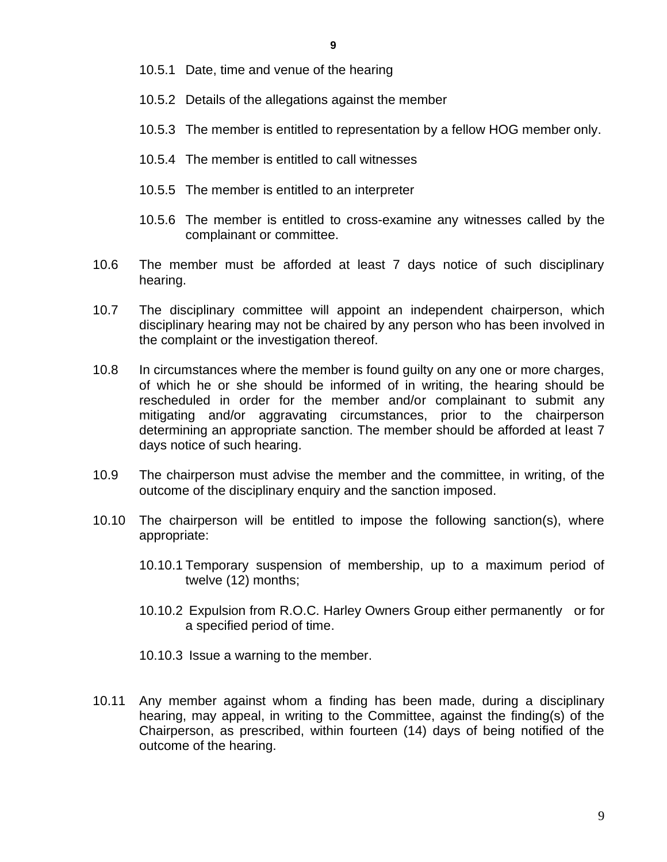- 10.5.1 Date, time and venue of the hearing
- 10.5.2 Details of the allegations against the member
- 10.5.3 The member is entitled to representation by a fellow HOG member only.
- 10.5.4 The member is entitled to call witnesses
- 10.5.5 The member is entitled to an interpreter
- 10.5.6 The member is entitled to cross-examine any witnesses called by the complainant or committee.
- 10.6 The member must be afforded at least 7 days notice of such disciplinary hearing.
- 10.7 The disciplinary committee will appoint an independent chairperson, which disciplinary hearing may not be chaired by any person who has been involved in the complaint or the investigation thereof.
- 10.8 In circumstances where the member is found guilty on any one or more charges, of which he or she should be informed of in writing, the hearing should be rescheduled in order for the member and/or complainant to submit any mitigating and/or aggravating circumstances, prior to the chairperson determining an appropriate sanction. The member should be afforded at least 7 days notice of such hearing.
- 10.9 The chairperson must advise the member and the committee, in writing, of the outcome of the disciplinary enquiry and the sanction imposed.
- 10.10 The chairperson will be entitled to impose the following sanction(s), where appropriate:
	- 10.10.1 Temporary suspension of membership, up to a maximum period of twelve (12) months;
	- 10.10.2 Expulsion from R.O.C. Harley Owners Group either permanently or for a specified period of time.
	- 10.10.3 Issue a warning to the member.
- 10.11 Any member against whom a finding has been made, during a disciplinary hearing, may appeal, in writing to the Committee, against the finding(s) of the Chairperson, as prescribed, within fourteen (14) days of being notified of the outcome of the hearing.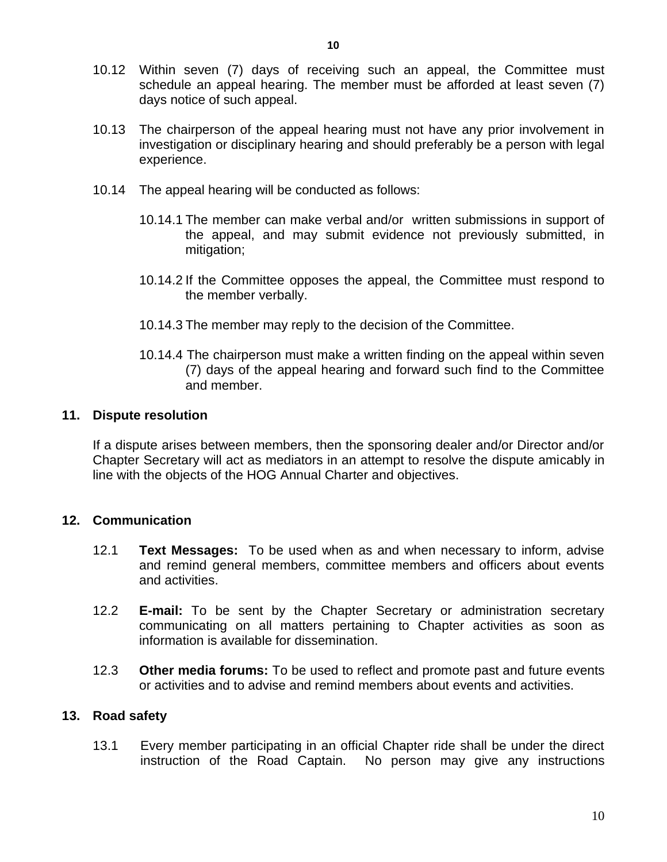- 10.12 Within seven (7) days of receiving such an appeal, the Committee must schedule an appeal hearing. The member must be afforded at least seven (7) days notice of such appeal.
- 10.13 The chairperson of the appeal hearing must not have any prior involvement in investigation or disciplinary hearing and should preferably be a person with legal experience.
- 10.14 The appeal hearing will be conducted as follows:
	- 10.14.1 The member can make verbal and/or written submissions in support of the appeal, and may submit evidence not previously submitted, in mitigation;
	- 10.14.2 If the Committee opposes the appeal, the Committee must respond to the member verbally.
	- 10.14.3 The member may reply to the decision of the Committee.
	- 10.14.4 The chairperson must make a written finding on the appeal within seven (7) days of the appeal hearing and forward such find to the Committee and member.

## **11. Dispute resolution**

If a dispute arises between members, then the sponsoring dealer and/or Director and/or Chapter Secretary will act as mediators in an attempt to resolve the dispute amicably in line with the objects of the HOG Annual Charter and objectives.

## **12. Communication**

- 12.1 **Text Messages:** To be used when as and when necessary to inform, advise and remind general members, committee members and officers about events and activities.
- 12.2 **E-mail:** To be sent by the Chapter Secretary or administration secretary communicating on all matters pertaining to Chapter activities as soon as information is available for dissemination.
- 12.3 **Other media forums:** To be used to reflect and promote past and future events or activities and to advise and remind members about events and activities.

## **13. Road safety**

13.1 Every member participating in an official Chapter ride shall be under the direct instruction of the Road Captain. No person may give any instructions